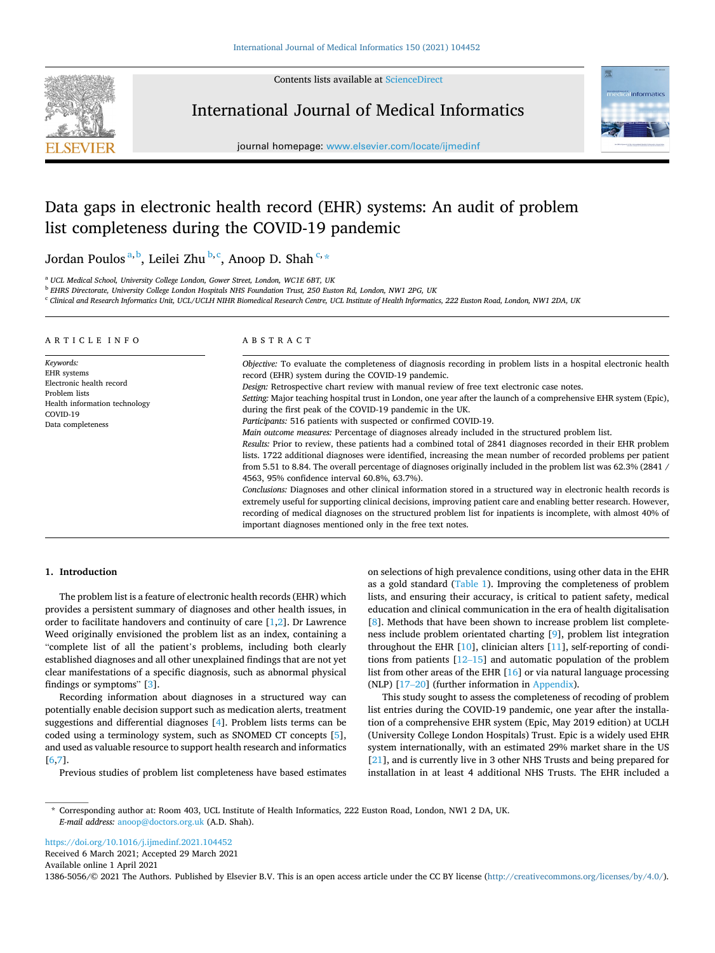

Contents lists available at [ScienceDirect](www.sciencedirect.com/science/journal/13865056)

## International Journal of Medical Informatics



journal homepage: [www.elsevier.com/locate/ijmedinf](https://www.elsevier.com/locate/ijmedinf) 

# Data gaps in electronic health record (EHR) systems: An audit of problem list completeness during the COVID-19 pandemic

Jordan Poulos <sup>a, b</sup>, Leilei Zhu <sup>b, c</sup>, Anoop D. Shah <sup>c, \*</sup>

<sup>a</sup> *UCL Medical School, University College London, Gower Street, London, WC1E 6BT, UK* 

<sup>b</sup> *EHRS Directorate, University College London Hospitals NHS Foundation Trust, 250 Euston Rd, London, NW1 2PG, UK* 

<sup>c</sup> *Clinical and Research Informatics Unit, UCL/UCLH NIHR Biomedical Research Centre, UCL Institute of Health Informatics, 222 Euston Road, London, NW1 2DA, UK* 

| ARTICLE INFO                                                                                                                            | ABSTRACT                                                                                                                                                                                                                                                                                                                                                                                                                                                                                                                                                                                                                                                                                                                                                                                                                                                                                                                                                                                                                                                                                                                                                                                                                                                                                                                                                                                                                                                  |  |  |
|-----------------------------------------------------------------------------------------------------------------------------------------|-----------------------------------------------------------------------------------------------------------------------------------------------------------------------------------------------------------------------------------------------------------------------------------------------------------------------------------------------------------------------------------------------------------------------------------------------------------------------------------------------------------------------------------------------------------------------------------------------------------------------------------------------------------------------------------------------------------------------------------------------------------------------------------------------------------------------------------------------------------------------------------------------------------------------------------------------------------------------------------------------------------------------------------------------------------------------------------------------------------------------------------------------------------------------------------------------------------------------------------------------------------------------------------------------------------------------------------------------------------------------------------------------------------------------------------------------------------|--|--|
| Keywords:<br>EHR systems<br>Electronic health record<br>Problem lists<br>Health information technology<br>COVID-19<br>Data completeness | Objective: To evaluate the completeness of diagnosis recording in problem lists in a hospital electronic health<br>record (EHR) system during the COVID-19 pandemic.<br>Design: Retrospective chart review with manual review of free text electronic case notes.<br>Setting: Major teaching hospital trust in London, one year after the launch of a comprehensive EHR system (Epic),<br>during the first peak of the COVID-19 pandemic in the UK.<br>Participants: 516 patients with suspected or confirmed COVID-19.<br>Main outcome measures: Percentage of diagnoses already included in the structured problem list.<br>Results: Prior to review, these patients had a combined total of 2841 diagnoses recorded in their EHR problem<br>lists. 1722 additional diagnoses were identified, increasing the mean number of recorded problems per patient<br>from 5.51 to 8.84. The overall percentage of diagnoses originally included in the problem list was 62.3% (2841 /<br>4563, 95% confidence interval 60.8%, 63.7%).<br>Conclusions: Diagnoses and other clinical information stored in a structured way in electronic health records is<br>extremely useful for supporting clinical decisions, improving patient care and enabling better research. However,<br>recording of medical diagnoses on the structured problem list for inpatients is incomplete, with almost 40% of<br>important diagnoses mentioned only in the free text notes. |  |  |

## **1. Introduction**

The problem list is a feature of electronic health records (EHR) which provides a persistent summary of diagnoses and other health issues, in order to facilitate handovers and continuity of care  $[1,2]$  $[1,2]$ . Dr Lawrence Weed originally envisioned the problem list as an index, containing a "complete list of all the patient's problems, including both clearly established diagnoses and all other unexplained findings that are not yet clear manifestations of a specific diagnosis, such as abnormal physical findings or symptoms" [\[3\]](#page-5-0).

Recording information about diagnoses in a structured way can potentially enable decision support such as medication alerts, treatment suggestions and differential diagnoses [[4](#page-5-0)]. Problem lists terms can be coded using a terminology system, such as SNOMED CT concepts [[5](#page-5-0)], and used as valuable resource to support health research and informatics [[6](#page-5-0),[7](#page-5-0)].

Previous studies of problem list completeness have based estimates

on selections of high prevalence conditions, using other data in the EHR as a gold standard [\(Table 1](#page-1-0)). Improving the completeness of problem lists, and ensuring their accuracy, is critical to patient safety, medical education and clinical communication in the era of health digitalisation [[8](#page-5-0)]. Methods that have been shown to increase problem list completeness include problem orientated charting [[9](#page-5-0)], problem list integration throughout the EHR [\[10](#page-5-0)], clinician alters [\[11](#page-5-0)], self-reporting of conditions from patients [12–[15\]](#page-5-0) and automatic population of the problem list from other areas of the EHR [[16\]](#page-5-0) or via natural language processing (NLP) [17–[20\]](#page-5-0) (further information in [Appendix\)](#page-5-0).

This study sought to assess the completeness of recoding of problem list entries during the COVID-19 pandemic, one year after the installation of a comprehensive EHR system (Epic, May 2019 edition) at UCLH (University College London Hospitals) Trust. Epic is a widely used EHR system internationally, with an estimated 29% market share in the US [[21\]](#page-5-0), and is currently live in 3 other NHS Trusts and being prepared for installation in at least 4 additional NHS Trusts. The EHR included a

<https://doi.org/10.1016/j.ijmedinf.2021.104452>

Received 6 March 2021; Accepted 29 March 2021

Available online 1 April 2021

1386-5056/© 2021 The Authors. Published by Elsevier B.V. This is an open access article under the CC BY license [\(http://creativecommons.org/licenses/by/4.0/\)](http://creativecommons.org/licenses/by/4.0/).

<sup>\*</sup> Corresponding author at: Room 403, UCL Institute of Health Informatics, 222 Euston Road, London, NW1 2 DA, UK. *E-mail address:* [anoop@doctors.org.uk](mailto:anoop@doctors.org.uk) (A.D. Shah).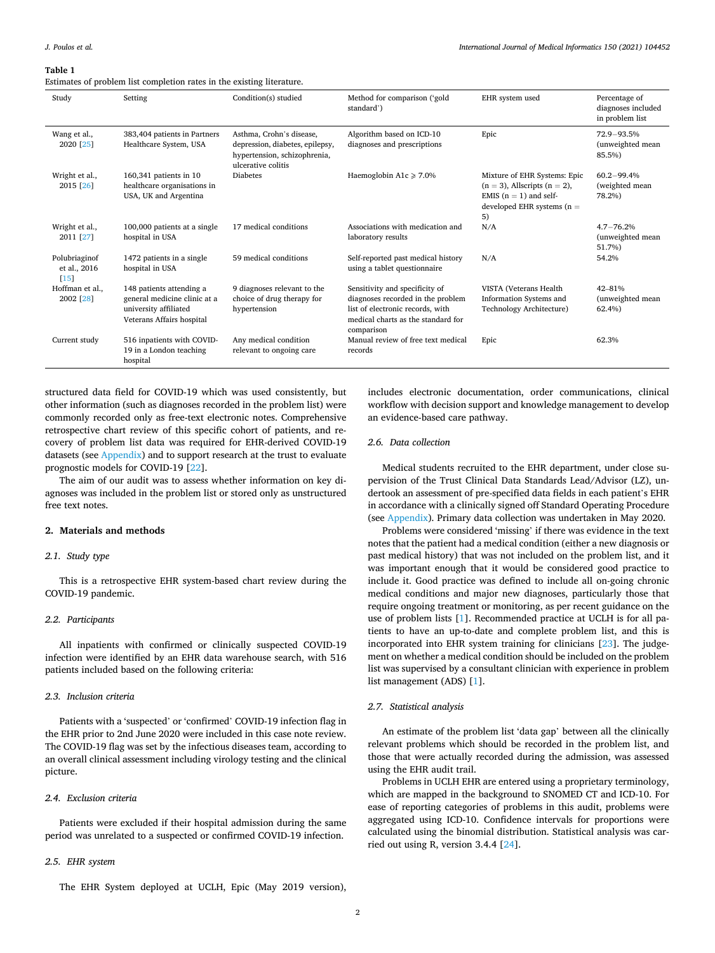<span id="page-1-0"></span>Estimates of problem list completion rates in the existing literature.

| Study                                   | Setting                                                                                                        | Condition(s) studied                                                                                              | Method for comparison ('gold<br>standard')                                                                                                                  | EHR system used                                                                                                                      | Percentage of<br>diagnoses included<br>in problem list |
|-----------------------------------------|----------------------------------------------------------------------------------------------------------------|-------------------------------------------------------------------------------------------------------------------|-------------------------------------------------------------------------------------------------------------------------------------------------------------|--------------------------------------------------------------------------------------------------------------------------------------|--------------------------------------------------------|
| Wang et al.,<br>2020 [25]               | 383,404 patients in Partners<br>Healthcare System, USA                                                         | Asthma, Crohn's disease,<br>depression, diabetes, epilepsy,<br>hypertension, schizophrenia,<br>ulcerative colitis | Algorithm based on ICD-10<br>diagnoses and prescriptions                                                                                                    | Epic                                                                                                                                 | 72.9-93.5%<br>(unweighted mean<br>85.5%)               |
| Wright et al.,<br>2015 [26]             | 160,341 patients in 10<br>healthcare organisations in<br>USA, UK and Argentina                                 | <b>Diabetes</b>                                                                                                   | Haemoglobin A1 $c \ge 7.0\%$                                                                                                                                | Mixture of EHR Systems: Epic<br>$(n = 3)$ , Allscripts $(n = 2)$ ,<br>EMIS $(n = 1)$ and self-<br>developed EHR systems $(n =$<br>5) | $60.2 - 99.4%$<br>(weighted mean<br>78.2%)             |
| Wright et al.,<br>2011 [27]             | 100,000 patients at a single<br>hospital in USA                                                                | 17 medical conditions                                                                                             | Associations with medication and<br>laboratory results                                                                                                      | N/A                                                                                                                                  | $4.7 - 76.2%$<br>(unweighted mean<br>51.7%)            |
| Polubriaginof<br>et al., 2016<br>$[15]$ | 1472 patients in a single<br>hospital in USA                                                                   | 59 medical conditions                                                                                             | Self-reported past medical history<br>using a tablet questionnaire                                                                                          | N/A                                                                                                                                  | 54.2%                                                  |
| Hoffman et al<br>2002 [28]              | 148 patients attending a<br>general medicine clinic at a<br>university affiliated<br>Veterans Affairs hospital | 9 diagnoses relevant to the<br>choice of drug therapy for<br>hypertension                                         | Sensitivity and specificity of<br>diagnoses recorded in the problem<br>list of electronic records, with<br>medical charts as the standard for<br>comparison | VISTA (Veterans Health<br>Information Systems and<br>Technology Architecture)                                                        | 42-81%<br>(unweighted mean<br>62.4%                    |
| Current study                           | 516 inpatients with COVID-<br>19 in a London teaching<br>hospital                                              | Any medical condition<br>relevant to ongoing care                                                                 | Manual review of free text medical<br>records                                                                                                               | Epic                                                                                                                                 | 62.3%                                                  |

structured data field for COVID-19 which was used consistently, but other information (such as diagnoses recorded in the problem list) were commonly recorded only as free-text electronic notes. Comprehensive retrospective chart review of this specific cohort of patients, and recovery of problem list data was required for EHR-derived COVID-19 datasets (see [Appendix](#page-5-0)) and to support research at the trust to evaluate prognostic models for COVID-19 [\[22](#page-5-0)].

The aim of our audit was to assess whether information on key diagnoses was included in the problem list or stored only as unstructured free text notes.

## **2. Materials and methods**

#### *2.1. Study type*

This is a retrospective EHR system-based chart review during the COVID-19 pandemic.

## *2.2. Participants*

All inpatients with confirmed or clinically suspected COVID-19 infection were identified by an EHR data warehouse search, with 516 patients included based on the following criteria:

## *2.3. Inclusion criteria*

Patients with a 'suspected' or 'confirmed' COVID-19 infection flag in the EHR prior to 2nd June 2020 were included in this case note review. The COVID-19 flag was set by the infectious diseases team, according to an overall clinical assessment including virology testing and the clinical picture.

#### *2.4. Exclusion criteria*

Patients were excluded if their hospital admission during the same period was unrelated to a suspected or confirmed COVID-19 infection.

#### *2.5. EHR system*

The EHR System deployed at UCLH, Epic (May 2019 version),

includes electronic documentation, order communications, clinical workflow with decision support and knowledge management to develop an evidence-based care pathway.

#### *2.6. Data collection*

Medical students recruited to the EHR department, under close supervision of the Trust Clinical Data Standards Lead/Advisor (LZ), undertook an assessment of pre-specified data fields in each patient's EHR in accordance with a clinically signed off Standard Operating Procedure (see [Appendix\)](#page-5-0). Primary data collection was undertaken in May 2020.

Problems were considered 'missing' if there was evidence in the text notes that the patient had a medical condition (either a new diagnosis or past medical history) that was not included on the problem list, and it was important enough that it would be considered good practice to include it. Good practice was defined to include all on-going chronic medical conditions and major new diagnoses, particularly those that require ongoing treatment or monitoring, as per recent guidance on the use of problem lists [[1](#page-5-0)]. Recommended practice at UCLH is for all patients to have an up-to-date and complete problem list, and this is incorporated into EHR system training for clinicians [[23\]](#page-5-0). The judgement on whether a medical condition should be included on the problem list was supervised by a consultant clinician with experience in problem list management (ADS) [\[1\]](#page-5-0).

#### *2.7. Statistical analysis*

An estimate of the problem list 'data gap' between all the clinically relevant problems which should be recorded in the problem list, and those that were actually recorded during the admission, was assessed using the EHR audit trail.

Problems in UCLH EHR are entered using a proprietary terminology, which are mapped in the background to SNOMED CT and ICD-10. For ease of reporting categories of problems in this audit, problems were aggregated using ICD-10. Confidence intervals for proportions were calculated using the binomial distribution. Statistical analysis was carried out using R, version 3.4.4 [[24\]](#page-5-0).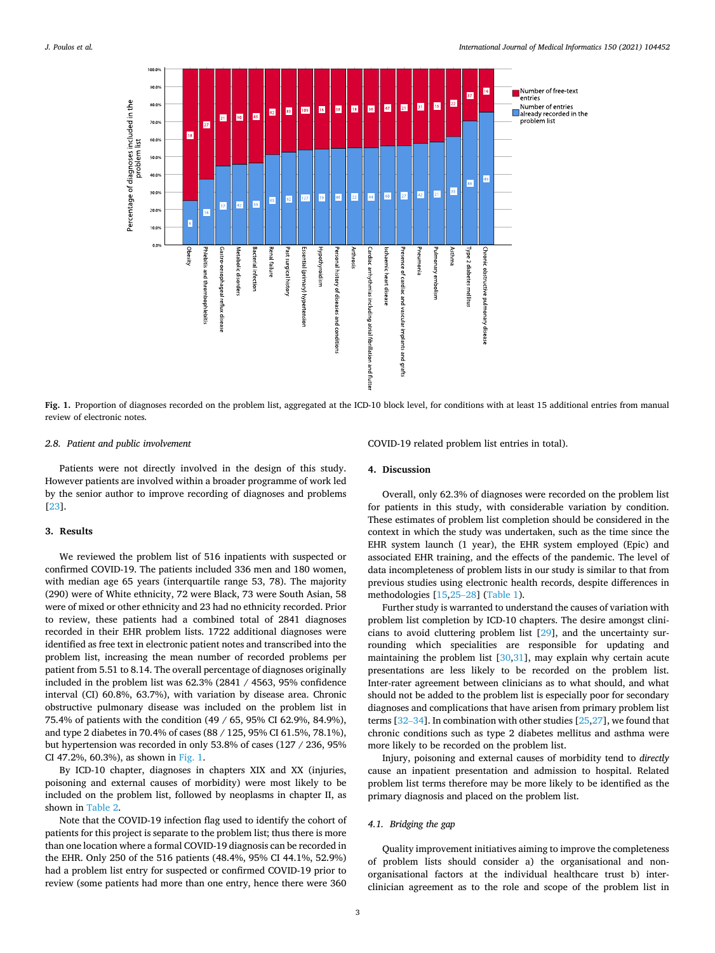

**Fig. 1.** Proportion of diagnoses recorded on the problem list, aggregated at the ICD-10 block level, for conditions with at least 15 additional entries from manual review of electronic notes.

## *2.8. Patient and public involvement*

Patients were not directly involved in the design of this study. However patients are involved within a broader programme of work led by the senior author to improve recording of diagnoses and problems [[23\]](#page-5-0).

## **3. Results**

We reviewed the problem list of 516 inpatients with suspected or confirmed COVID-19. The patients included 336 men and 180 women, with median age 65 years (interquartile range 53, 78). The majority (290) were of White ethnicity, 72 were Black, 73 were South Asian, 58 were of mixed or other ethnicity and 23 had no ethnicity recorded. Prior to review, these patients had a combined total of 2841 diagnoses recorded in their EHR problem lists. 1722 additional diagnoses were identified as free text in electronic patient notes and transcribed into the problem list, increasing the mean number of recorded problems per patient from 5.51 to 8.14. The overall percentage of diagnoses originally included in the problem list was 62.3% (2841 / 4563, 95% confidence interval (CI) 60.8%, 63.7%), with variation by disease area. Chronic obstructive pulmonary disease was included on the problem list in 75.4% of patients with the condition (49 / 65, 95% CI 62.9%, 84.9%), and type 2 diabetes in 70.4% of cases (88 / 125, 95% CI 61.5%, 78.1%), but hypertension was recorded in only 53.8% of cases (127 / 236, 95% CI 47.2%, 60.3%), as shown in Fig. 1.

By ICD-10 chapter, diagnoses in chapters XIX and XX (injuries, poisoning and external causes of morbidity) were most likely to be included on the problem list, followed by neoplasms in chapter II, as shown in [Table 2.](#page-3-0)

Note that the COVID-19 infection flag used to identify the cohort of patients for this project is separate to the problem list; thus there is more than one location where a formal COVID-19 diagnosis can be recorded in the EHR. Only 250 of the 516 patients (48.4%, 95% CI 44.1%, 52.9%) had a problem list entry for suspected or confirmed COVID-19 prior to review (some patients had more than one entry, hence there were 360 COVID-19 related problem list entries in total).

#### **4. Discussion**

Overall, only 62.3% of diagnoses were recorded on the problem list for patients in this study, with considerable variation by condition. These estimates of problem list completion should be considered in the context in which the study was undertaken, such as the time since the EHR system launch (1 year), the EHR system employed (Epic) and associated EHR training, and the effects of the pandemic. The level of data incompleteness of problem lists in our study is similar to that from previous studies using electronic health records, despite differences in methodologies [[15,25](#page-5-0)–28] ([Table 1](#page-1-0)).

Further study is warranted to understand the causes of variation with problem list completion by ICD-10 chapters. The desire amongst clinicians to avoid cluttering problem list [\[29](#page-5-0)], and the uncertainty surrounding which specialities are responsible for updating and maintaining the problem list [[30,31\]](#page-5-0), may explain why certain acute presentations are less likely to be recorded on the problem list. Inter-rater agreement between clinicians as to what should, and what should not be added to the problem list is especially poor for secondary diagnoses and complications that have arisen from primary problem list terms [\[32](#page-5-0)–34]. In combination with other studies [\[25](#page-5-0),[27](#page-5-0)], we found that chronic conditions such as type 2 diabetes mellitus and asthma were more likely to be recorded on the problem list.

Injury, poisoning and external causes of morbidity tend to *directly*  cause an inpatient presentation and admission to hospital. Related problem list terms therefore may be more likely to be identified as the primary diagnosis and placed on the problem list.

## *4.1. Bridging the gap*

Quality improvement initiatives aiming to improve the completeness of problem lists should consider a) the organisational and nonorganisational factors at the individual healthcare trust b) interclinician agreement as to the role and scope of the problem list in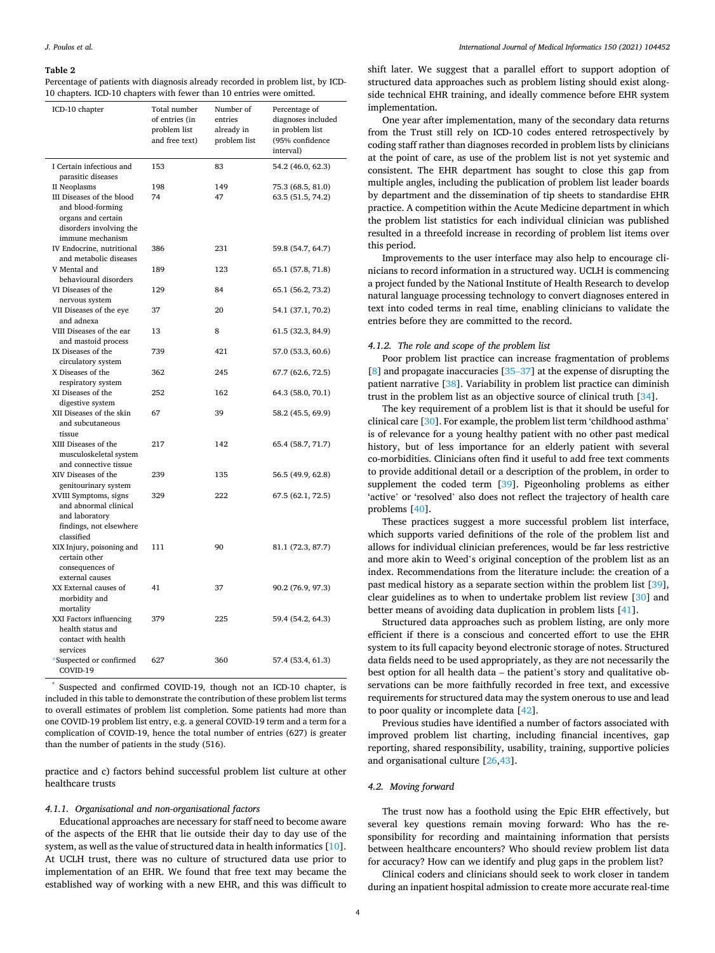## <span id="page-3-0"></span>**Table 2**

| Percentage of patients with diagnosis already recorded in problem list, by ICD- |  |
|---------------------------------------------------------------------------------|--|
| 10 chapters. ICD-10 chapters with fewer than 10 entries were omitted.           |  |

| ICD-10 chapter                                                                                             | Total number<br>of entries (in<br>problem list<br>and free text) | Number of<br>entries<br>already in<br>problem list | Percentage of<br>diagnoses included<br>in problem list<br>(95% confidence<br>interval) |
|------------------------------------------------------------------------------------------------------------|------------------------------------------------------------------|----------------------------------------------------|----------------------------------------------------------------------------------------|
| I Certain infectious and                                                                                   | 153                                                              | 83                                                 | 54.2 (46.0, 62.3)                                                                      |
| parasitic diseases<br>II Neoplasms<br>III Diseases of the blood<br>and blood-forming<br>organs and certain | 198<br>74                                                        | 149<br>47                                          | 75.3 (68.5, 81.0)<br>63.5 (51.5, 74.2)                                                 |
| disorders involving the<br>immune mechanism                                                                |                                                                  |                                                    |                                                                                        |
| IV Endocrine, nutritional<br>and metabolic diseases                                                        | 386                                                              | 231                                                | 59.8 (54.7, 64.7)                                                                      |
| V Mental and<br>behavioural disorders                                                                      | 189                                                              | 123                                                | 65.1 (57.8, 71.8)                                                                      |
| VI Diseases of the<br>nervous system                                                                       | 129                                                              | 84                                                 | 65.1 (56.2, 73.2)                                                                      |
| VII Diseases of the eye<br>and adnexa                                                                      | 37                                                               | 20                                                 | 54.1 (37.1, 70.2)                                                                      |
| VIII Diseases of the ear<br>and mastoid process                                                            | 13                                                               | 8                                                  | 61.5 (32.3, 84.9)                                                                      |
| IX Diseases of the<br>circulatory system                                                                   | 739                                                              | 421                                                | 57.0 (53.3, 60.6)                                                                      |
| X Diseases of the                                                                                          | 362                                                              | 245                                                | 67.7 (62.6, 72.5)                                                                      |
| respiratory system<br>XI Diseases of the                                                                   | 252                                                              | 162                                                | 64.3 (58.0, 70.1)                                                                      |
| digestive system<br>XII Diseases of the skin<br>and subcutaneous                                           | 67                                                               | 39                                                 | 58.2 (45.5, 69.9)                                                                      |
| tissue<br>XIII Diseases of the<br>musculoskeletal system<br>and connective tissue                          | 217                                                              | 142                                                | 65.4 (58.7, 71.7)                                                                      |
| XIV Diseases of the<br>genitourinary system                                                                | 239                                                              | 135                                                | 56.5 (49.9, 62.8)                                                                      |
| XVIII Symptoms, signs<br>and abnormal clinical<br>and laboratory<br>findings, not elsewhere<br>classified  | 329                                                              | 222                                                | 67.5 (62.1, 72.5)                                                                      |
| XIX Injury, poisoning and<br>certain other<br>consequences of<br>external causes                           | 111                                                              | 90                                                 | 81.1 (72.3, 87.7)                                                                      |
| XX External causes of<br>morbidity and<br>mortality                                                        | 41                                                               | 37                                                 | 90.2 (76.9, 97.3)                                                                      |
| XXI Factors influencing<br>health status and<br>contact with health<br>services                            | 379                                                              | 225                                                | 59.4 (54.2, 64.3)                                                                      |
| *Suspected or confirmed<br>COVID-19                                                                        | 627                                                              | 360                                                | 57.4 (53.4, 61.3)                                                                      |

Suspected and confirmed COVID-19, though not an ICD-10 chapter, is included in this table to demonstrate the contribution of these problem list terms to overall estimates of problem list completion. Some patients had more than one COVID-19 problem list entry, e.g. a general COVID-19 term and a term for a complication of COVID-19, hence the total number of entries (627) is greater than the number of patients in the study (516).

practice and c) factors behind successful problem list culture at other healthcare trusts

## *4.1.1. Organisational and non-organisational factors*

Educational approaches are necessary for staff need to become aware of the aspects of the EHR that lie outside their day to day use of the system, as well as the value of structured data in health informatics [\[10](#page-5-0)]. At UCLH trust, there was no culture of structured data use prior to implementation of an EHR. We found that free text may became the established way of working with a new EHR, and this was difficult to

shift later. We suggest that a parallel effort to support adoption of structured data approaches such as problem listing should exist alongside technical EHR training, and ideally commence before EHR system implementation.

One year after implementation, many of the secondary data returns from the Trust still rely on ICD-10 codes entered retrospectively by coding staff rather than diagnoses recorded in problem lists by clinicians at the point of care, as use of the problem list is not yet systemic and consistent. The EHR department has sought to close this gap from multiple angles, including the publication of problem list leader boards by department and the dissemination of tip sheets to standardise EHR practice. A competition within the Acute Medicine department in which the problem list statistics for each individual clinician was published resulted in a threefold increase in recording of problem list items over this period.

Improvements to the user interface may also help to encourage clinicians to record information in a structured way. UCLH is commencing a project funded by the National Institute of Health Research to develop natural language processing technology to convert diagnoses entered in text into coded terms in real time, enabling clinicians to validate the entries before they are committed to the record.

#### *4.1.2. The role and scope of the problem list*

Poor problem list practice can increase fragmentation of problems  $[8]$  $[8]$  $[8]$  and propagate inaccuracies  $[35-37]$  $[35-37]$  at the expense of disrupting the patient narrative [\[38](#page-5-0)]. Variability in problem list practice can diminish trust in the problem list as an objective source of clinical truth [[34\]](#page-5-0).

The key requirement of a problem list is that it should be useful for clinical care [[30\]](#page-5-0). For example, the problem list term 'childhood asthma' is of relevance for a young healthy patient with no other past medical history, but of less importance for an elderly patient with several co-morbidities. Clinicians often find it useful to add free text comments to provide additional detail or a description of the problem, in order to supplement the coded term [[39\]](#page-5-0). Pigeonholing problems as either 'active' or 'resolved' also does not reflect the trajectory of health care problems [[40\]](#page-5-0).

These practices suggest a more successful problem list interface, which supports varied definitions of the role of the problem list and allows for individual clinician preferences, would be far less restrictive and more akin to Weed's original conception of the problem list as an index. Recommendations from the literature include: the creation of a past medical history as a separate section within the problem list [\[39](#page-5-0)], clear guidelines as to when to undertake problem list review [[30\]](#page-5-0) and better means of avoiding data duplication in problem lists [[41\]](#page-5-0).

Structured data approaches such as problem listing, are only more efficient if there is a conscious and concerted effort to use the EHR system to its full capacity beyond electronic storage of notes. Structured data fields need to be used appropriately, as they are not necessarily the best option for all health data – the patient's story and qualitative observations can be more faithfully recorded in free text, and excessive requirements for structured data may the system onerous to use and lead to poor quality or incomplete data [\[42](#page-5-0)].

Previous studies have identified a number of factors associated with improved problem list charting, including financial incentives, gap reporting, shared responsibility, usability, training, supportive policies and organisational culture [\[26](#page-5-0),[43\]](#page-5-0).

#### *4.2. Moving forward*

The trust now has a foothold using the Epic EHR effectively, but several key questions remain moving forward: Who has the responsibility for recording and maintaining information that persists between healthcare encounters? Who should review problem list data for accuracy? How can we identify and plug gaps in the problem list?

Clinical coders and clinicians should seek to work closer in tandem during an inpatient hospital admission to create more accurate real-time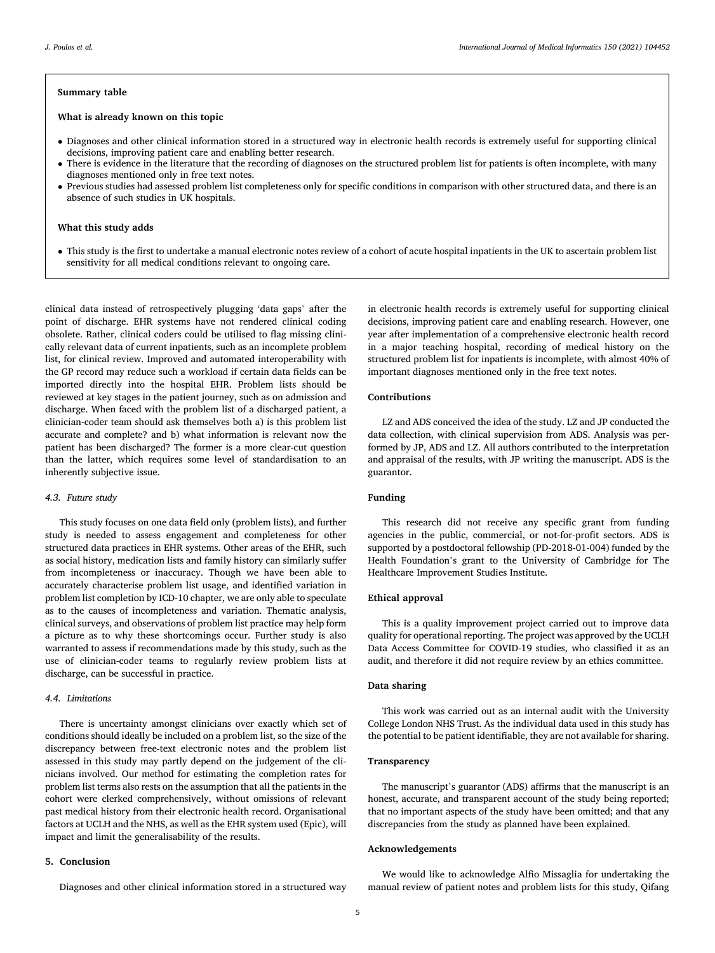## **Summary table**

## **What is already known on this topic**

- Diagnoses and other clinical information stored in a structured way in electronic health records is extremely useful for supporting clinical decisions, improving patient care and enabling better research.
- There is evidence in the literature that the recording of diagnoses on the structured problem list for patients is often incomplete, with many diagnoses mentioned only in free text notes.
- Previous studies had assessed problem list completeness only for specific conditions in comparison with other structured data, and there is an absence of such studies in UK hospitals.

## **What this study adds**

• This study is the first to undertake a manual electronic notes review of a cohort of acute hospital inpatients in the UK to ascertain problem list sensitivity for all medical conditions relevant to ongoing care.

clinical data instead of retrospectively plugging 'data gaps' after the point of discharge. EHR systems have not rendered clinical coding obsolete. Rather, clinical coders could be utilised to flag missing clinically relevant data of current inpatients, such as an incomplete problem list, for clinical review. Improved and automated interoperability with the GP record may reduce such a workload if certain data fields can be imported directly into the hospital EHR. Problem lists should be reviewed at key stages in the patient journey, such as on admission and discharge. When faced with the problem list of a discharged patient, a clinician-coder team should ask themselves both a) is this problem list accurate and complete? and b) what information is relevant now the patient has been discharged? The former is a more clear-cut question than the latter, which requires some level of standardisation to an inherently subjective issue.

## *4.3. Future study*

This study focuses on one data field only (problem lists), and further study is needed to assess engagement and completeness for other structured data practices in EHR systems. Other areas of the EHR, such as social history, medication lists and family history can similarly suffer from incompleteness or inaccuracy. Though we have been able to accurately characterise problem list usage, and identified variation in problem list completion by ICD-10 chapter, we are only able to speculate as to the causes of incompleteness and variation. Thematic analysis, clinical surveys, and observations of problem list practice may help form a picture as to why these shortcomings occur. Further study is also warranted to assess if recommendations made by this study, such as the use of clinician-coder teams to regularly review problem lists at discharge, can be successful in practice.

## *4.4. Limitations*

There is uncertainty amongst clinicians over exactly which set of conditions should ideally be included on a problem list, so the size of the discrepancy between free-text electronic notes and the problem list assessed in this study may partly depend on the judgement of the clinicians involved. Our method for estimating the completion rates for problem list terms also rests on the assumption that all the patients in the cohort were clerked comprehensively, without omissions of relevant past medical history from their electronic health record. Organisational factors at UCLH and the NHS, as well as the EHR system used (Epic), will impact and limit the generalisability of the results.

## **5. Conclusion**

Diagnoses and other clinical information stored in a structured way

in electronic health records is extremely useful for supporting clinical decisions, improving patient care and enabling research. However, one year after implementation of a comprehensive electronic health record in a major teaching hospital, recording of medical history on the structured problem list for inpatients is incomplete, with almost 40% of important diagnoses mentioned only in the free text notes.

## **Contributions**

LZ and ADS conceived the idea of the study. LZ and JP conducted the data collection, with clinical supervision from ADS. Analysis was performed by JP, ADS and LZ. All authors contributed to the interpretation and appraisal of the results, with JP writing the manuscript. ADS is the guarantor.

## **Funding**

This research did not receive any specific grant from funding agencies in the public, commercial, or not-for-profit sectors. ADS is supported by a postdoctoral fellowship (PD-2018-01-004) funded by the Health Foundation's grant to the University of Cambridge for The Healthcare Improvement Studies Institute.

## **Ethical approval**

This is a quality improvement project carried out to improve data quality for operational reporting. The project was approved by the UCLH Data Access Committee for COVID-19 studies, who classified it as an audit, and therefore it did not require review by an ethics committee.

#### **Data sharing**

This work was carried out as an internal audit with the University College London NHS Trust. As the individual data used in this study has the potential to be patient identifiable, they are not available for sharing.

## **Transparency**

The manuscript's guarantor (ADS) affirms that the manuscript is an honest, accurate, and transparent account of the study being reported; that no important aspects of the study have been omitted; and that any discrepancies from the study as planned have been explained.

## **Acknowledgements**

We would like to acknowledge Alfio Missaglia for undertaking the manual review of patient notes and problem lists for this study, Qifang